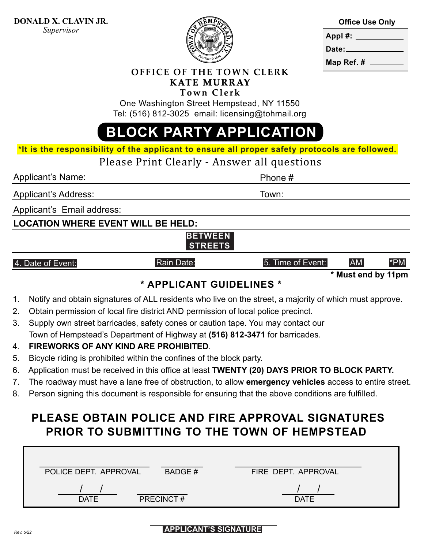

|         | <b>Office Use Only</b> |
|---------|------------------------|
| Annl #: |                        |

| . . |          |  |
|-----|----------|--|
|     | Date: __ |  |
|     |          |  |

**Map Ref. #** 

**OFFICE OF THE TOWN CLERK KATE MURRAY**

**Town Clerk**

One Washington Street Hempstead, NY 11550 Tel: (516) 812-3025 email: licensing@tohmail.org

# **BLOCK PARTY APPLICATION**

**\*It is the responsibility of the applicant to ensure all proper safety protocols are followed.** 

Please Print Clearly - Answer all questions

Applicant's Name: Phone #

Town:

Applicant's Address:

Applicant's Email address:

### **LOCATION WHERE EVENT WILL BE HELD:**

### **BETWEEN STREETS**

#### 4. Date of Event: The South Communication Communication Communication Communication Communication Communication Communication Communication Communication Communication Communication Communication Communication Communicatio

**\* Must end by 11pm**

# **\* APPLICANT GUIDELINES \***

- 1. Notify and obtain signatures of ALL residents who live on the street, a majority of which must approve.
- 2. Obtain permission of local fire district AND permission of local police precinct.
- 3. Supply own street barricades, safety cones or caution tape. You may contact our Town of Hempstead's Department of Highway at **(516) 812-3471** for barricades.

Rain Date:

# 4. **FIREWORKS OF ANY KIND ARE PROHIBITED**.

- 5. Bicycle riding is prohibited within the confines of the block party.
- 6. Application must be received in this office at least **TWENTY (20) DAYS PRIOR TO BLOCK PARTY.**
- 7. The roadway must have a lane free of obstruction, to allow **emergency vehicles** access to entire street.
- 8. Person signing this document is responsible for ensuring that the above conditions are fulfilled.

# **PLEASE OBTAIN POLICE AND FIRE APPROVAL SIGNATURES PRIOR TO SUBMITTING TO THE TOWN OF HEMPSTEAD**

| POLICE DEPT. APPROVAL | BADGE#           | FIRE DEPT. APPROVAL |
|-----------------------|------------------|---------------------|
| <b>DATE</b>           | <b>PRECINCT#</b> | <b>DATE</b>         |

#### *Rev. 5/22* **APPLICANT'S SIGNATURE**